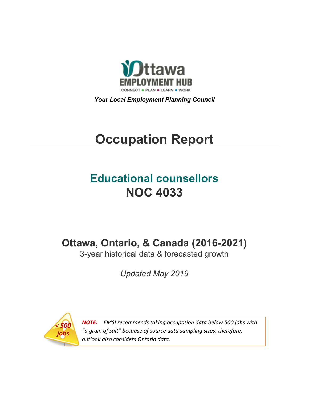

*Your Local Employment Planning Council*

# **Occupation Report**

# **Educational counsellors NOC 4033**

**Ottawa, Ontario, & Canada (2016-2021)**

3-year historical data & forecasted growth

*Updated May 2019*



*NOTE: EMSI recommends taking occupation data below 500 jobs with "a grain of salt" because of source data sampling sizes; therefore, outlook also considers Ontario data.*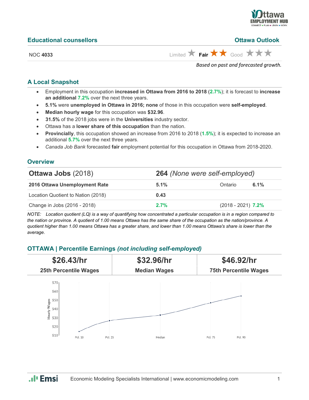

| <b>Educational counsellors</b> | <b>Ottawa Outlook</b>                                       |
|--------------------------------|-------------------------------------------------------------|
| <b>NOC 4033</b>                | Limited $\star$ Fair $\star \star$ Good $\star \star \star$ |

*Based on past and forecasted growth.*

#### **A Local Snapshot**

- Employment in this occupation **increased in Ottawa from 2016 to 2018** (**2.7%**); it is forecast to **increase an additional 7.2%** over the next three years.
- **5.1%** were **unemployed in Ottawa in 2016; none** of those in this occupation were **self-employed**.
- **Median hourly wage** for this occupation was **\$32.96**.
- **31.5%** of the 2018 jobs were in the **Universities** industry sector.
- Ottawa has a **lower share of this occupation** than the nation.
- **Provincially**, this occupation showed an increase from 2016 to 2018 (**1.5%**); it is expected to increase an additional **5.7%** over the next three years.
- *Canada Job Bank* forecasted **fair** employment potential for this occupation in Ottawa from 2018-2020.

#### **Overview**

| <b>Ottawa Jobs (2018)</b>          | 264 (None were self-employed) |                      |      |
|------------------------------------|-------------------------------|----------------------|------|
| 2016 Ottawa Unemployment Rate      | 5.1%                          | Ontario              | 6.1% |
| Location Quotient to Nation (2018) | 0.43                          |                      |      |
| Change in Jobs (2016 - 2018)       | 2.7%                          | $(2018 - 2021)$ 7.2% |      |

*NOTE: Location quotient (LQ) is a way of quantifying how concentrated a particular occupation is in a region compared to the nation or province. A quotient of 1.00 means Ottawa has the same share of the occupation as the nation/province. A quotient higher than 1.00 means Ottawa has a greater share, and lower than 1.00 means Ottawa's share is lower than the average.*

## **OTTAWA | Percentile Earnings** *(not including self-employed)*



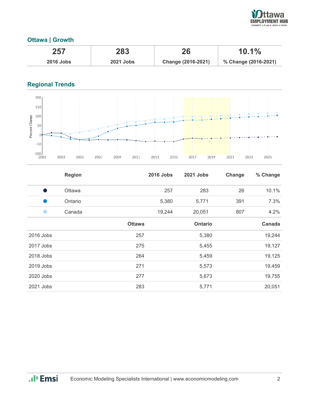

# **Ottawa | Growth**

| 257              | 283              | 26                 | $10.1\%$             |
|------------------|------------------|--------------------|----------------------|
| <b>2016 Jobs</b> | <b>2021 Jobs</b> | Change (2016-2021) | % Change (2016-2021) |

# **Regional Trends**



|           | <b>Region</b> |               | <b>2016 Jobs</b> | 2021 Jobs      | Change | % Change |
|-----------|---------------|---------------|------------------|----------------|--------|----------|
| a.        | Ottawa        |               | 257              | 283            | 26     | 10.1%    |
| u.        | Ontario       |               | 5,380            | 5,771          | 391    | 7.3%     |
|           | Canada        |               | 19,244           | 20,051         | 807    | 4.2%     |
|           |               | <b>Ottawa</b> |                  | <b>Ontario</b> |        | Canada   |
| 2016 Jobs |               | 257           |                  | 5,380          |        | 19,244   |
| 2017 Jobs |               | 275           |                  | 5,455          |        | 19,127   |
| 2018 Jobs |               | 264           |                  | 5,459          |        | 19,125   |
| 2019 Jobs |               | 271           |                  | 5,573          |        | 19,459   |
| 2020 Jobs |               | 277           |                  | 5,673          |        | 19,755   |
| 2021 Jobs |               | 283           |                  | 5,771          |        | 20,051   |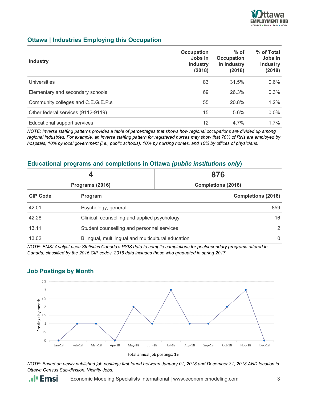

### **Ottawa | Industries Employing this Occupation**

| <b>Industry</b>                    | <b>Occupation</b><br>Jobs in<br><b>Industry</b><br>(2018) | $%$ of<br><b>Occupation</b><br>in Industry<br>(2018) | % of Total<br>Jobs in<br><b>Industry</b><br>(2018) |
|------------------------------------|-----------------------------------------------------------|------------------------------------------------------|----------------------------------------------------|
| <b>Universities</b>                | 83                                                        | 31.5%                                                | 0.6%                                               |
| Elementary and secondary schools   | 69                                                        | 26.3%                                                | 0.3%                                               |
| Community colleges and C.E.G.E.P.s | 55                                                        | 20.8%                                                | $1.2\%$                                            |
| Other federal services (9112-9119) | 15                                                        | 5.6%                                                 | $0.0\%$                                            |
| Educational support services       | 12                                                        | 4.7%                                                 | $1.7\%$                                            |

*NOTE: Inverse staffing patterns provides a table of percentages that shows how regional occupations are divided up among regional industries. For example, an inverse staffing pattern for registered nurses may show that 70% of RNs are employed by hospitals, 10% by local government (i.e., public schools), 10% by nursing homes, and 10% by offices of physicians.*

#### **Educational programs and completions in Ottawa** *(public institutions only***)**

|                                                     | 876                       |  |  |
|-----------------------------------------------------|---------------------------|--|--|
| Programs (2016)                                     | <b>Completions (2016)</b> |  |  |
| Program                                             | <b>Completions (2016)</b> |  |  |
| Psychology, general                                 | 859                       |  |  |
| Clinical, counselling and applied psychology        |                           |  |  |
| Student counselling and personnel services          |                           |  |  |
| Bilingual, multilingual and multicultural education |                           |  |  |
|                                                     |                           |  |  |

*NOTE: EMSI Analyst uses Statistics Canada's PSIS data to compile completions for postsecondary programs offered in Canada, classified by the 2016 CIP codes. 2016 data includes those who graduated in spring 2017.*

#### **Job Postings by Month**

**.**. **I** Emsi



*NOTE: Based on newly published job postings first found between January 01, 2018 and December 31, 2018 AND location is Ottawa Census Sub-division, Vicinity Jobs.*